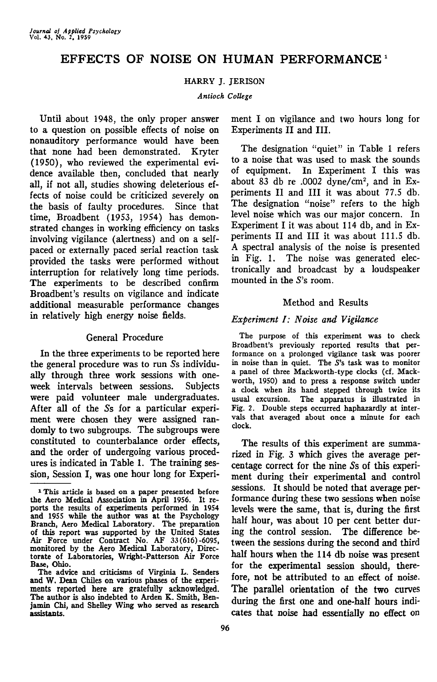# EFFECTS OF NOISE ON HUMAN PERFORMANCE<sup>1</sup>

### HARRY J. JERISON

#### *Antioch College*

Until about 1948, the only proper answer to a question on possible effects of noise on nonauditory performance would have been that none had been demonstrated. Kryter (1950), who reviewed the experimental evidence available then, concluded that nearly all, if not all, studies showing deleterious effects of noise could be criticized severely on the basis of faulty procedures. Since that time, Broadbent (1953, 1954) has demonstrated changes in working efficiency on tasks involving vigilance (alertness) and on a selfpaced or externally paced serial reaction task provided the tasks were performed without interruption for relatively long time periods. The experiments to be described confirm Broadbent's results on vigilance and indicate additional measurable performance changes in relatively high energy noise fields.

### General Procedure

In the three experiments to be reported here the general procedure was to run 5s individually through three work sessions with oneweek intervals between sessions. Subjects were paid volunteer male undergraduates. After all of the 5s for a particular experiment were chosen they were assigned randomly to two subgroups. The subgroups were constituted to counterbalance order effects, and the order of undergoing various procedures is indicated in Table 1. The training session, Session I, was one hour long for Experiment I on vigilance and two hours long for Experiments II and III.

The designation "quiet" in Table 1 refers to a noise that was used to mask the sounds of equipment. In Experiment I this was about 83 db re .0002 dyne/cm<sup>2</sup>, and in Experiments II and III it was about 77.5 db. The designation "noise" refers to the high level noise which was our major concern. In Experiment I it was about 114 db, and in Experiments II and III it was about 111.5 db. A spectral analysis of the noise is presented in Fig. 1. The noise was generated electronically and broadcast by a loudspeaker mounted in the 5's room.

### Method and Results

### *Experiment I: Noise and Vigilance*

The purpose of this experiment was to check Broadbent's previously reported results that performance on a prolonged vigilance task was poorer in noise than in quiet. The 5's task was to monitor a panel of three Mackworth-type clocks (cf. Mackworth, 1950) and to press a response switch under a clock when its hand stepped through twice its usual excursion. The apparatus is illustrated in Fig. 2. Double steps occurred haphazardly at intervals that averaged about once a minute for each clock.

The results of this experiment are summarized in Fig. 3 which gives the average percentage correct for the nine 5s of this experiment during their experimental and control sessions. It should be noted that average performance during these two sessions when noise levels were the same, that is, during the first half hour, was about 10 per cent better during the control session. The difference between the sessions during the second and third half hours when the 114 db noise was present for the experimental session should, therefore, not be attributed to an effect of noise. The parallel orientation of the two curves during the first one and one-half hours indicates that noise had essentially no effect on

<sup>1</sup>This article is based on a paper presented before the Aero Medical Association in April 1956. It reports the results of experiments performed in 1954 and 1955 while the author was at the Psychology Branch, Aero Medical Laboratory. The preparation of this report was supported by the United States Air Force under Contract No. AF 33 (616) -6095, monitored by the Aero Medical Laboratory, Directorate of Laboratories, Wright-Patterson Air Force Base, Ohio.

The advice and criticisms of Virginia L. Senders and W. Dean Chiles on various phases of the experiments reported here are gratefully acknowledged. The author is also indebted to Arden K. Smith, Benjamin Chi, and Shelley Wing who served as research assistants.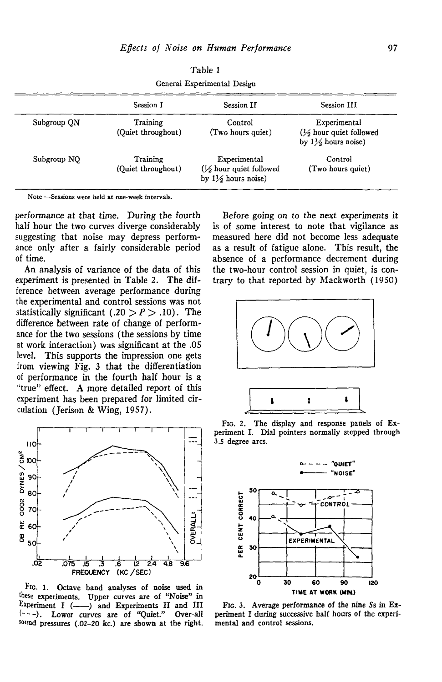|             | Session I                      | Session II                                                                          | Session III                                                         |
|-------------|--------------------------------|-------------------------------------------------------------------------------------|---------------------------------------------------------------------|
| Subgroup QN | Training                       | Control                                                                             | Experimental                                                        |
|             | (Quiet throughout)             | (Two hours quiet)                                                                   | $\frac{1}{2}$ hour quiet followed<br>by $1\frac{1}{2}$ hours noise) |
| Subgroup NO | Training<br>(Ouiet throughout) | Experimental<br>$\frac{1}{2}$ hour quiet followed<br>by $1\frac{1}{2}$ hours noise) | Control<br>(Two hours quiet)                                        |

Table 1 General Experimental Design

Note —Sessions were held at one-week intervals.

performance at that time. During the fourth half hour the two curves diverge considerably suggesting that noise may depress performance only after a fairly considerable period of time.

An analysis of variance of the data of this experiment is presented in Table 2. The difference between average performance during the experimental and control sessions was not statistically significant (.20  $> P > .10$ ). The difference between rate of change of performance for the two sessions (the sessions by time at work interaction) was significant at the .05 level. This supports the impression one gets from viewing Fig. 3 that the differentiation of performance in the fourth half hour is a 'true" effect. A more detailed report of this experiment has been prepared for limited circulation (Jerison & Wing, 1957).



FIG. 1. Octave band analyses of noise used in these experiments. Upper curves are of "Noise" in Experiment  $I$  ( $\longrightarrow$ ) and Experiments II and III  $(-,-)$ . Lower curves are of "Quiet." Over-all sound pressures (.02-20 kc.) are shown at the right.

Before going on to the next experiments it is of some interest to note that vigilance as measured here did not become less adequate as a result of fatigue alone. This result, the absence of a performance decrement during the two-hour control session in quiet, is contrary to that reported by Mackworth (1950)



FIG. 2. The display and response panels of Experiment I. Dial pointers normally stepped through 3.S degree arcs.



FIG. 3. Average performance of the nine 5s in Experiment I during successive half hours of the experimental and control sessions.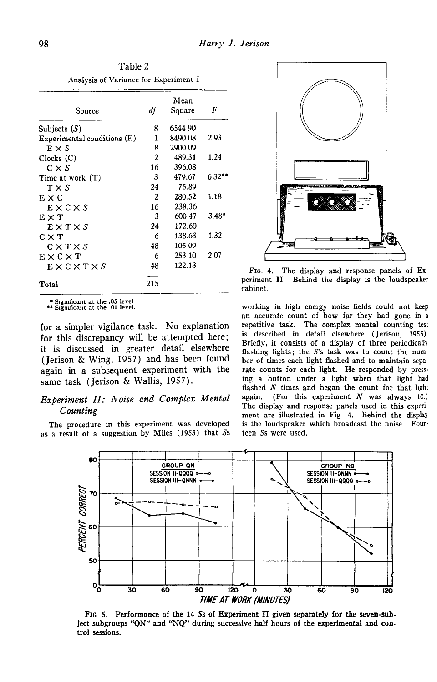| Table 2                               |                                   |
|---------------------------------------|-----------------------------------|
| Analysis of Variance for Experiment I |                                   |
|                                       | Mean                              |
|                                       | $S_{\alpha\nu\alpha\sigma\alpha}$ |

| Source                         | df             | Square  | F       |
|--------------------------------|----------------|---------|---------|
| Subjects $(S)$                 | 8              | 6544 90 |         |
| Experimental conditions $(E)$  | 1              | 8490 08 | 293     |
| $E \times S$                   | 8              | 2900 09 |         |
| Clocks (C)                     | $\mathfrak{p}$ | 489.31  | 1.24    |
| $C \times S$                   | 16             | 396.08  |         |
| Time at work $(T)$             | 3              | 479.67  | $632**$ |
| T X S                          | 24             | 75.89   |         |
| $E \times C$                   | $\overline{2}$ | 280.52  | 1.18    |
| $E \times C \times S$          | 16             | 238.36  |         |
| $E\times T$                    | 3              | 600 47  | $3.48*$ |
| $E \times T \times S$          | 24             | 172.60  |         |
| $C \times T$                   | 6              | 138.63  | 1.32    |
| $C \times T \times S$          | 48             | 105 09  |         |
| $E \times C \times T$          | 6              | 253 10  | 207     |
| $E \times C \times T \times S$ | 48             | 122.13  |         |
|                                |                |         |         |
| Total                          | 215            |         |         |

• Significant at the .05 level \*\* Significant at the 01 level.

for a simpler vigilance task. No explanation for this discrepancy will be attempted here; it is discussed in greater detail elsewhere (Jerison & Wing, 1957) and has been found again in a subsequent experiment with the same task (Jerison & Wallis, 1957).

### *Experiment II: Noise and Complex Mental Counting*

The procedure in this experiment was developed as a result of a suggestion by Miles (1953) that 5s



FIG. 4. The display and response panels of Ex-<br>periment II Behind the display is the loudspeaker Behind the display is the loudspeaker cabinet.

working in high energy noise fields could not keep an accurate count of how far they had gone in a repetitive task. The complex mental counting test is described in detail elsewhere (Jerison, 1955) Briefly, it consists of a display of three periodicall) flashing lights; the S's task was to count the number of times each light flashed and to maintain separate counts for each light. He responded by pressing a button under a light when that light had flashed N times and began the count for that light again. (For this experiment *N* was always 10.) The display and response panels used in this experiment are illustrated in Fig 4. Behind the displa) is the loudspeaker which broadcast the noise Fourteen 5s were used.



FIG 5. Performance of the 14 Ss of Experiment II given separately for the seven-subject subgroups "QN" and "NQ" during successive half hours of the experimental and control sessions.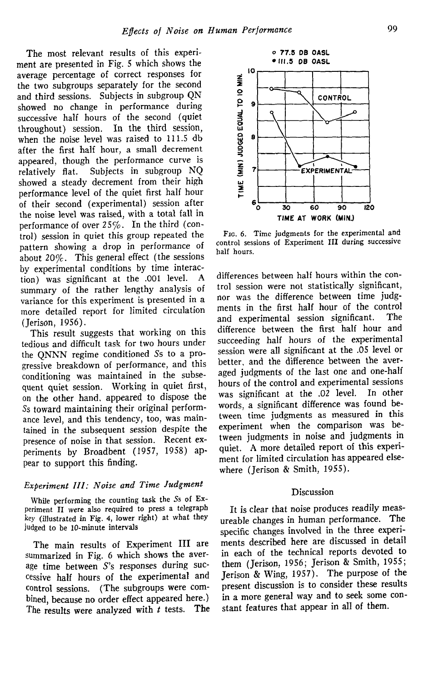The most relevant results of this experiment are presented in Fig. 5 which shows the average percentage of correct responses for the two subgroups separately for the second and third sessions. Subjects in subgroup QN showed no change in performance during successive half hours of the second (quiet throughout) session. In the third session, when the noise level was raised to 111.5 db after the first half hour, a small decrement appeared, though the performance curve is relatively flat. Subjects in subgroup NQ showed a steady decrement from their high performance level of the quiet first half hour of their second (experimental) session after the noise level was raised, with a total fall in performance of over 25%. In the third (control) session in quiet this group repeated the pattern showing a drop in performance of about 20%. This general effect (the sessions by experimental conditions by time interaction) was significant at the .001 level. A summary of the rather lengthy analysis of variance for this experiment is presented in a more detailed report for limited circulation (Jerison, 1956).

This result suggests that working on this tedious and difficult task for two hours under the QNNN regime conditioned 5s to a progressive breakdown of performance, and this conditioning was maintained in the subsequent quiet session. Working in quiet first, on the other hand, appeared to dispose the Ss toward maintaining their original performance level, and this tendency, too, was maintained in the subsequent session despite the presence of noise in that session. Recent experiments by Broadbent (1957, 1958) appear to support this finding.

## *Experiment III: Noise and Time Judgment*

While performing the counting task the 5s of Experiment II were also required to press a telegraph key (illustrated in Fig. 4, lower right) at what they judged to be 10-minute intervals

The main results of Experiment III are summarized in Fig. 6 which shows the average time between S's responses during successive half hours of the experimental and control sessions. (The subgroups were combined, because no order effect appeared here.) The results were analyzed with *t* tests. The



FIG. 6. Time judgments for the experimental and control sessions of Experiment III during successive half hours.

differences between half hours within the control session were not statistically significant, nor was the difference between time judgments in the first half hour of the control and experimental session significant. The difference between the first half hour and succeeding half hours of the experimental session were all significant at the .05 level or better, and the difference between the averaged judgments of the last one and one-half hours of the control and experimental sessions was significant at the .02 level. In other words, a significant difference was found between time judgments as measured in this experiment when the comparison was between judgments in noise and judgments in quiet. A more detailed report of this experiment for limited circulation has appeared elsewhere (Jerison & Smith, 1955).

### Discussion

It is clear that noise produces readily measureable changes in human performance. The specific changes involved in the three experiments described here are discussed in detail in each of the technical reports devoted to them (Jerison, 1956; Jerison & Smith, 1955; Jerison & Wing, 1957). The purpose of the present discussion is to consider these results in a more general way and to seek some constant features that appear in all of them.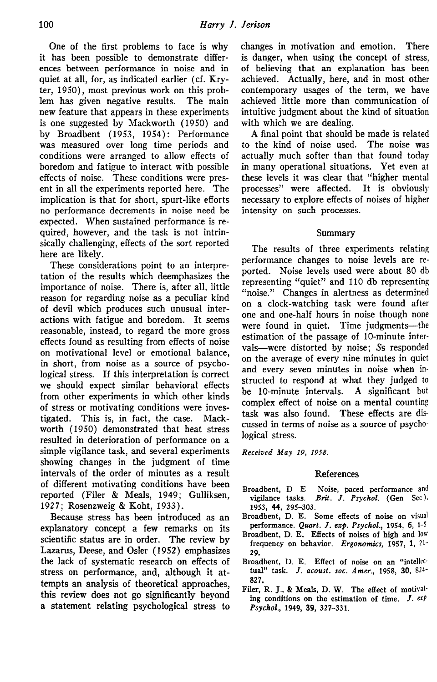One of the first problems to face is why it has been possible to demonstrate differences between performance in noise and in quiet at all, for, as indicated earlier (cf. Kryter, 1950), most previous work on this problem has given negative results. The main new feature that appears in these experiments is one suggested by Mackworth (1950) and by Broadbent (1953, 1954): Performance was measured over long time periods and conditions were arranged to allow effects of boredom and fatigue to interact with possible effects of noise. These conditions were present in all the experiments reported here. The implication is that for short, spurt-like efforts no performance decrements in noise need be expected. When sustained performance is required, however, and the task is not intrinsically challenging, effects of the sort reported here are likely.

These considerations point to an interpretation of the results which deemphasizes the importance of noise. There is, after all, little reason for regarding noise as a peculiar kind of devil which produces such unusual interactions with fatigue and boredom. It seems reasonable, instead, to regard the more gross effects found as resulting from effects of noise on motivational level or emotional balance, in short, from noise as a source of psychological stress. If this interpretation is correct we should expect similar behavioral effects from other experiments in which other kinds of stress or motivating conditions were investigated. This is, in fact, the case. Mackworth (1950) demonstrated that heat stress resulted in deterioration of performance on a simple vigilance task, and several experiments showing changes in the judgment of time intervals of the order of minutes as a result of different motivating conditions have been reported (Filer & Meals, 1949; Gulliksen, 1927; Rosenzweig & Koht, 1933).

Because stress has been introduced as an explanatory concept a few remarks on its scientific status are in order. The review by Lazarus, Deese, and Osier (1952) emphasizes the lack of systematic research on effects of stress on performance, and, although it attempts an analysis of theoretical approaches, this review does not go significantly beyond a statement relating psychological stress to

changes in motivation and emotion. There is danger, when using the concept of stress, of believing that an explanation has been achieved. Actually, here, and in most other contemporary usages of the term, we have achieved little more than communication of intuitive judgment about the kind of situation with which we are dealing.

A final point that should be made is related to the kind of noise used. The noise was actually much softer than that found today in many operational situations. Yet even at these levels it was clear that "higher mental processes" were affected. It is obviously necessary to explore effects of noises of higher intensity on such processes.

### Summary

The results of three experiments relating performance changes to noise levels are reported. Noise levels used were about 80 db representing "quiet" and 110 db representing "noise." Changes in alertness as determined on a clock-watching task were found after one and one-half hours in noise though none were found in quiet. Time judgments—the estimation of the passage of 10-minute intervals—were distorted by noise; Ss responded on the average of every nine minutes in quiet and every seven minutes in noise when instructed to respond at what they judged to be 10-minute intervals. A significant but complex effect of noise on a mental counting task was also found. These effects are discussed in terms of noise as a source of psychological stress.

*Received May 19, 1958.*

#### References

- Broadbent, D E Noise, paced performance and vigilance tasks. Brit. J. Psychol. (Gen Sec). Brit. J. Psychol. (Gen Sec). 1953, 44, 29S-303.
- Broadbent, D. E. Some effects of noise on visual performance. *Quart. J. exp. Psychol.,* 19S4, 6, 1-5
- Broadbent, D. E. Effects of noises of high and low frequency on behavior. *Ergonomics,* 1957, 1, 21- 29.
- Broadbent, D. E. Effect of noise on an "intellectual" task. /. *acoust. soc. Amer.,* 19S8, 30, 824- 827.
- Filer, R. J., & Meals, D. W. The effect of motivating conditions on the estimation of time.  $J. e^{i\phi}$ *Psychol,* 1949, 39, 327-331.